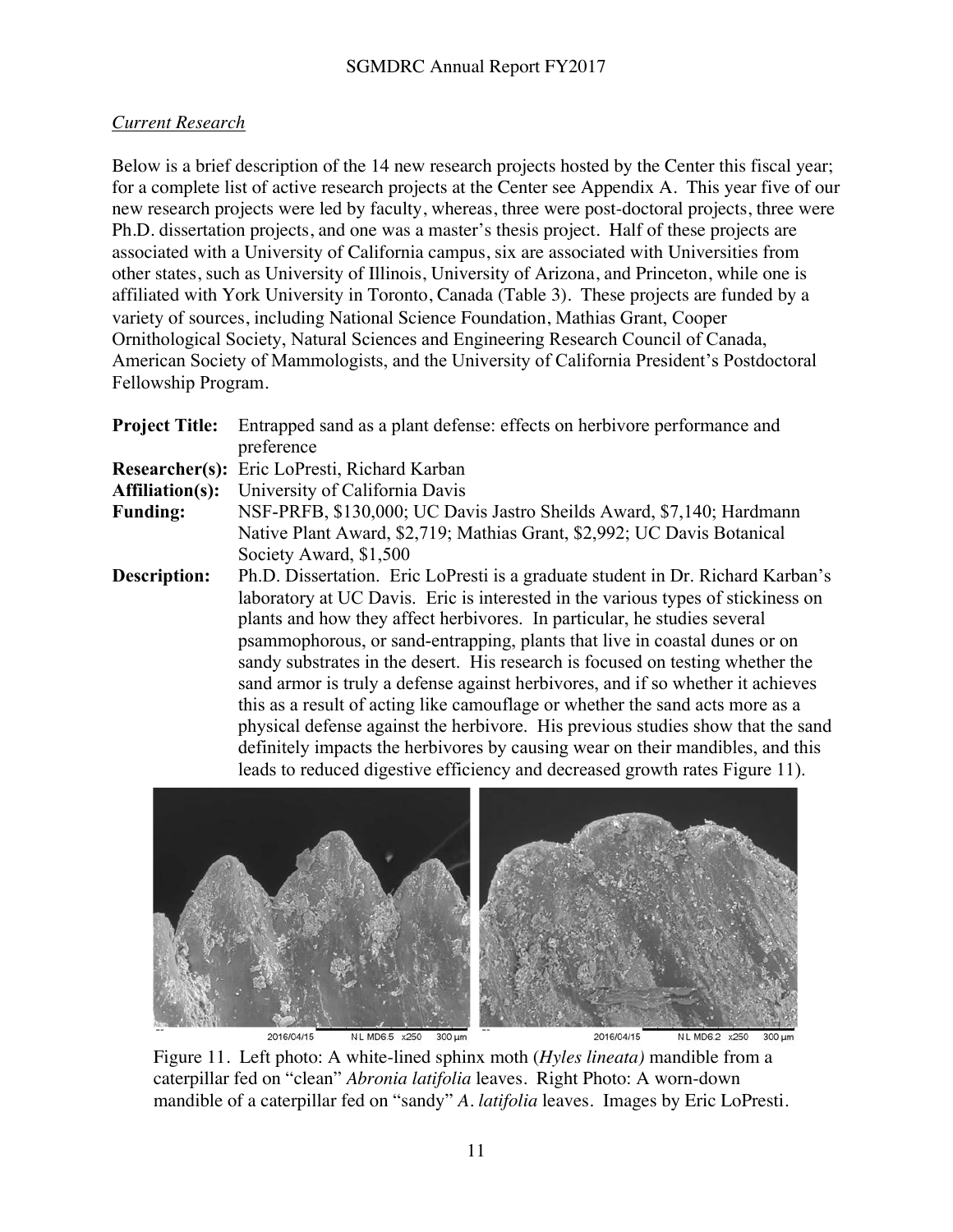## *Current Research*

Below is a brief description of the 14 new research projects hosted by the Center this fiscal year; for a complete list of active research projects at the Center see Appendix A. This year five of our new research projects were led by faculty, whereas, three were post-doctoral projects, three were Ph.D. dissertation projects, and one was a master's thesis project. Half of these projects are associated with a University of California campus, six are associated with Universities from other states, such as University of Illinois, University of Arizona, and Princeton, while one is affiliated with York University in Toronto, Canada (Table 3). These projects are funded by a variety of sources, including National Science Foundation, Mathias Grant, Cooper Ornithological Society, Natural Sciences and Engineering Research Council of Canada, American Society of Mammologists, and the University of California President's Postdoctoral Fellowship Program.

| <b>Project Title:</b> | Entrapped sand as a plant defense: effects on herbivore performance and              |
|-----------------------|--------------------------------------------------------------------------------------|
|                       | preference                                                                           |
|                       | Researcher(s): Eric LoPresti, Richard Karban                                         |
| Affiliation(s):       | University of California Davis                                                       |
| <b>Funding:</b>       | NSF-PRFB, \$130,000; UC Davis Jastro Sheilds Award, \$7,140; Hardmann                |
|                       | Native Plant Award, \$2,719; Mathias Grant, \$2,992; UC Davis Botanical              |
|                       | Society Award, \$1,500                                                               |
| Doconintion.          | $Dk$ D, Discortation, $Emin I0 Dmost$ is a creducto student in $Dn$ , Bishard Karbon |

**Description:** Ph.D. Dissertation. Eric LoPresti is a graduate student in Dr. Richard Karban's laboratory at UC Davis. Eric is interested in the various types of stickiness on plants and how they affect herbivores. In particular, he studies several psammophorous, or sand-entrapping, plants that live in coastal dunes or on sandy substrates in the desert. His research is focused on testing whether the sand armor is truly a defense against herbivores, and if so whether it achieves this as a result of acting like camouflage or whether the sand acts more as a physical defense against the herbivore. His previous studies show that the sand definitely impacts the herbivores by causing wear on their mandibles, and this leads to reduced digestive efficiency and decreased growth rates Figure 11).



Figure 11. Left photo: A white-lined sphinx moth (*Hyles lineata)* mandible from a caterpillar fed on "clean" *Abronia latifolia* leaves. Right Photo: A worn-down mandible of a caterpillar fed on "sandy" *A. latifolia* leaves. Images by Eric LoPresti.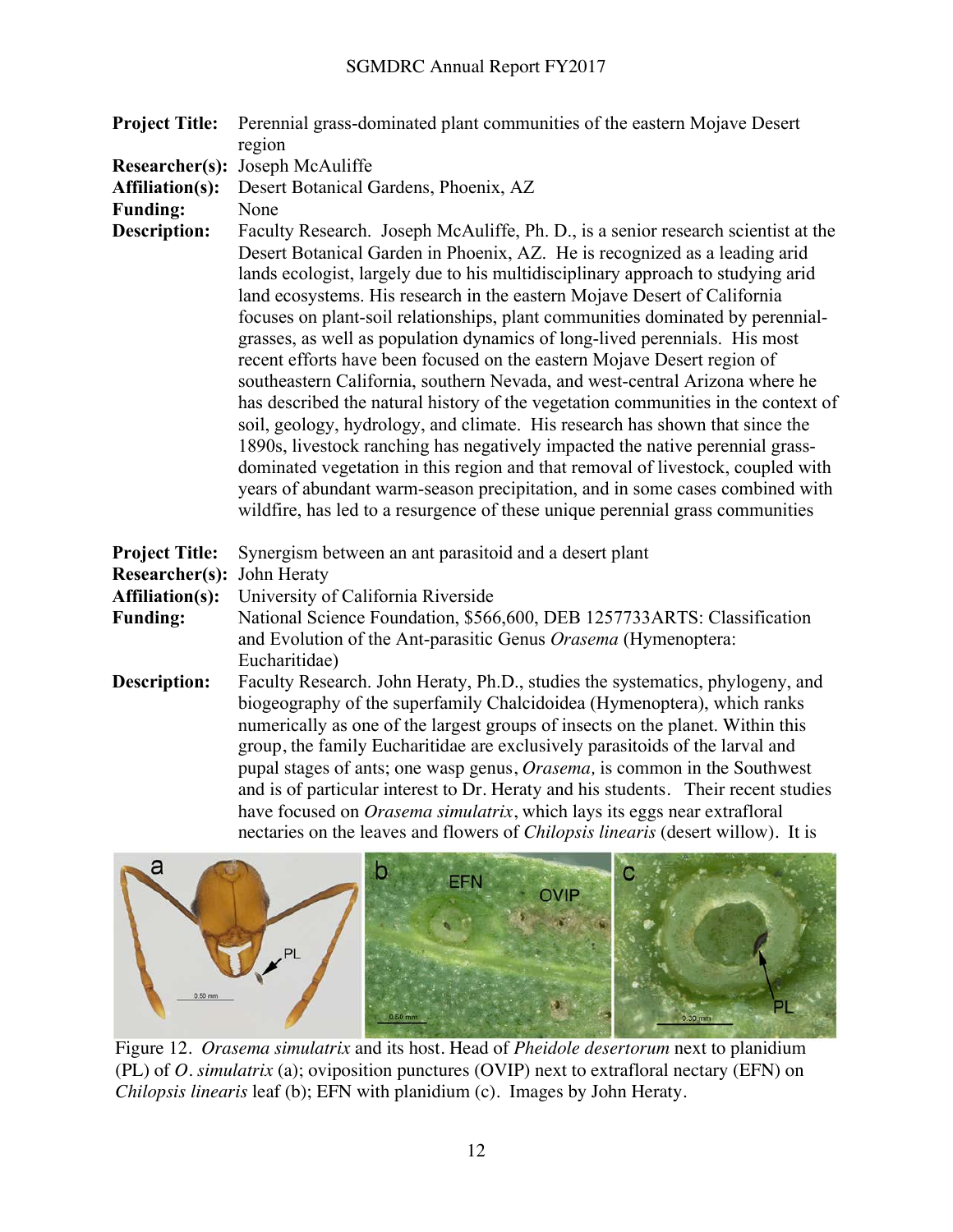- **Project Title:** Perennial grass-dominated plant communities of the eastern Mojave Desert region
- **Researcher(s):** Joseph McAuliffe

**Affiliation(s):** Desert Botanical Gardens, Phoenix, AZ

**Funding:** None

**Description:** Faculty Research. Joseph McAuliffe, Ph. D., is a senior research scientist at the Desert Botanical Garden in Phoenix, AZ. He is recognized as a leading arid lands ecologist, largely due to his multidisciplinary approach to studying arid land ecosystems. His research in the eastern Mojave Desert of California focuses on plant-soil relationships, plant communities dominated by perennialgrasses, as well as population dynamics of long-lived perennials. His most recent efforts have been focused on the eastern Mojave Desert region of southeastern California, southern Nevada, and west-central Arizona where he has described the natural history of the vegetation communities in the context of soil, geology, hydrology, and climate. His research has shown that since the 1890s, livestock ranching has negatively impacted the native perennial grassdominated vegetation in this region and that removal of livestock, coupled with years of abundant warm-season precipitation, and in some cases combined with wildfire, has led to a resurgence of these unique perennial grass communities

| <b>Project Title:</b>             | Synergism between an ant parasitoid and a desert plant                                                                                                                                                                                                                                                                                                                                                                                                                                                                                                                                                                                                                               |
|-----------------------------------|--------------------------------------------------------------------------------------------------------------------------------------------------------------------------------------------------------------------------------------------------------------------------------------------------------------------------------------------------------------------------------------------------------------------------------------------------------------------------------------------------------------------------------------------------------------------------------------------------------------------------------------------------------------------------------------|
| <b>Researcher(s): John Heraty</b> |                                                                                                                                                                                                                                                                                                                                                                                                                                                                                                                                                                                                                                                                                      |
| <b>Affiliation(s):</b>            | University of California Riverside                                                                                                                                                                                                                                                                                                                                                                                                                                                                                                                                                                                                                                                   |
| <b>Funding:</b>                   | National Science Foundation, \$566,600, DEB 1257733ARTS: Classification<br>and Evolution of the Ant-parasitic Genus Orasema (Hymenoptera:<br>Eucharitidae)                                                                                                                                                                                                                                                                                                                                                                                                                                                                                                                           |
| <b>Description:</b>               | Faculty Research. John Heraty, Ph.D., studies the systematics, phylogeny, and<br>biogeography of the superfamily Chalcidoidea (Hymenoptera), which ranks<br>numerically as one of the largest groups of insects on the planet. Within this<br>group, the family Eucharitidae are exclusively parasitoids of the larval and<br>pupal stages of ants; one wasp genus, <i>Orasema</i> , is common in the Southwest<br>and is of particular interest to Dr. Heraty and his students. Their recent studies<br>have focused on <i>Orasema simulatrix</i> , which lays its eggs near extrafloral<br>nectaries on the leaves and flowers of <i>Chilopsis linearis</i> (desert willow). It is |



Figure 12. *Orasema simulatrix* and its host. Head of *Pheidole desertorum* next to planidium (PL) of *O. simulatrix* (a); oviposition punctures (OVIP) next to extrafloral nectary (EFN) on *Chilopsis linearis* leaf (b); EFN with planidium (c). Images by John Heraty.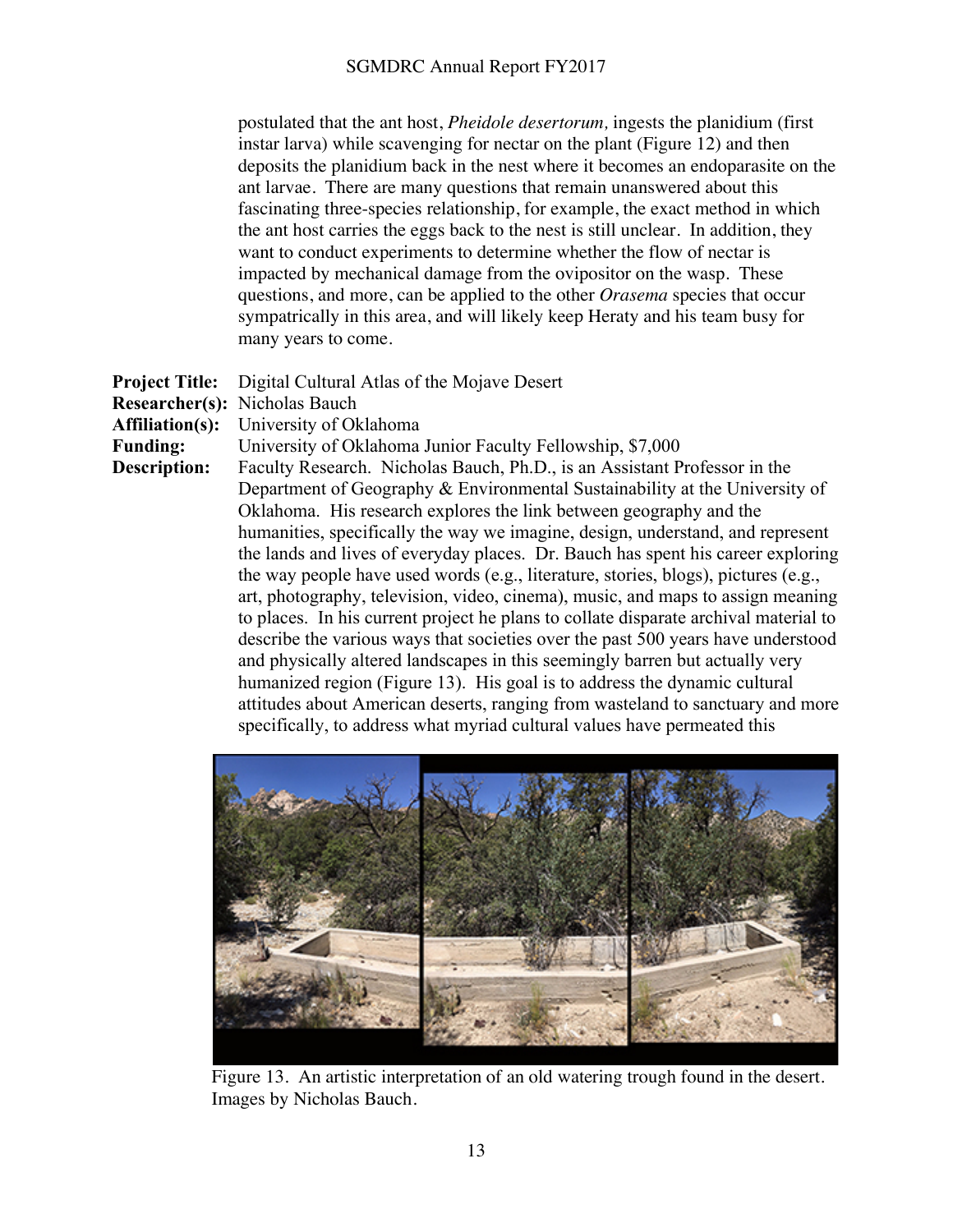postulated that the ant host, *Pheidole desertorum,* ingests the planidium (first instar larva) while scavenging for nectar on the plant (Figure 12) and then deposits the planidium back in the nest where it becomes an endoparasite on the ant larvae. There are many questions that remain unanswered about this fascinating three-species relationship, for example, the exact method in which the ant host carries the eggs back to the nest is still unclear. In addition, they want to conduct experiments to determine whether the flow of nectar is impacted by mechanical damage from the ovipositor on the wasp. These questions, and more, can be applied to the other *Orasema* species that occur sympatrically in this area, and will likely keep Heraty and his team busy for many years to come.

| <b>Project Title:</b> | Digital Cultural Atlas of the Mojave Desert                                          |
|-----------------------|--------------------------------------------------------------------------------------|
|                       | Researcher(s): Nicholas Bauch                                                        |
| Affiliation(s):       | University of Oklahoma                                                               |
| <b>Funding:</b>       | University of Oklahoma Junior Faculty Fellowship, \$7,000                            |
| <b>Description:</b>   | Faculty Research. Nicholas Bauch, Ph.D., is an Assistant Professor in the            |
|                       | Department of Geography & Environmental Sustainability at the University of          |
|                       | Oklahoma. His research explores the link between geography and the                   |
|                       | humanities, specifically the way we imagine, design, understand, and represent       |
|                       | the lands and lives of everyday places. Dr. Bauch has spent his career exploring     |
|                       | the way people have used words (e.g., literature, stories, blogs), pictures (e.g.,   |
|                       | art, photography, television, video, cinema), music, and maps to assign meaning      |
|                       | to places. In his current project he plans to collate disparate archival material to |
|                       | describe the various ways that societies over the past 500 years have understood     |

and physically altered landscapes in this seemingly barren but actually very humanized region (Figure 13). His goal is to address the dynamic cultural attitudes about American deserts, ranging from wasteland to sanctuary and more specifically, to address what myriad cultural values have permeated this



Figure 13. An artistic interpretation of an old watering trough found in the desert. Images by Nicholas Bauch.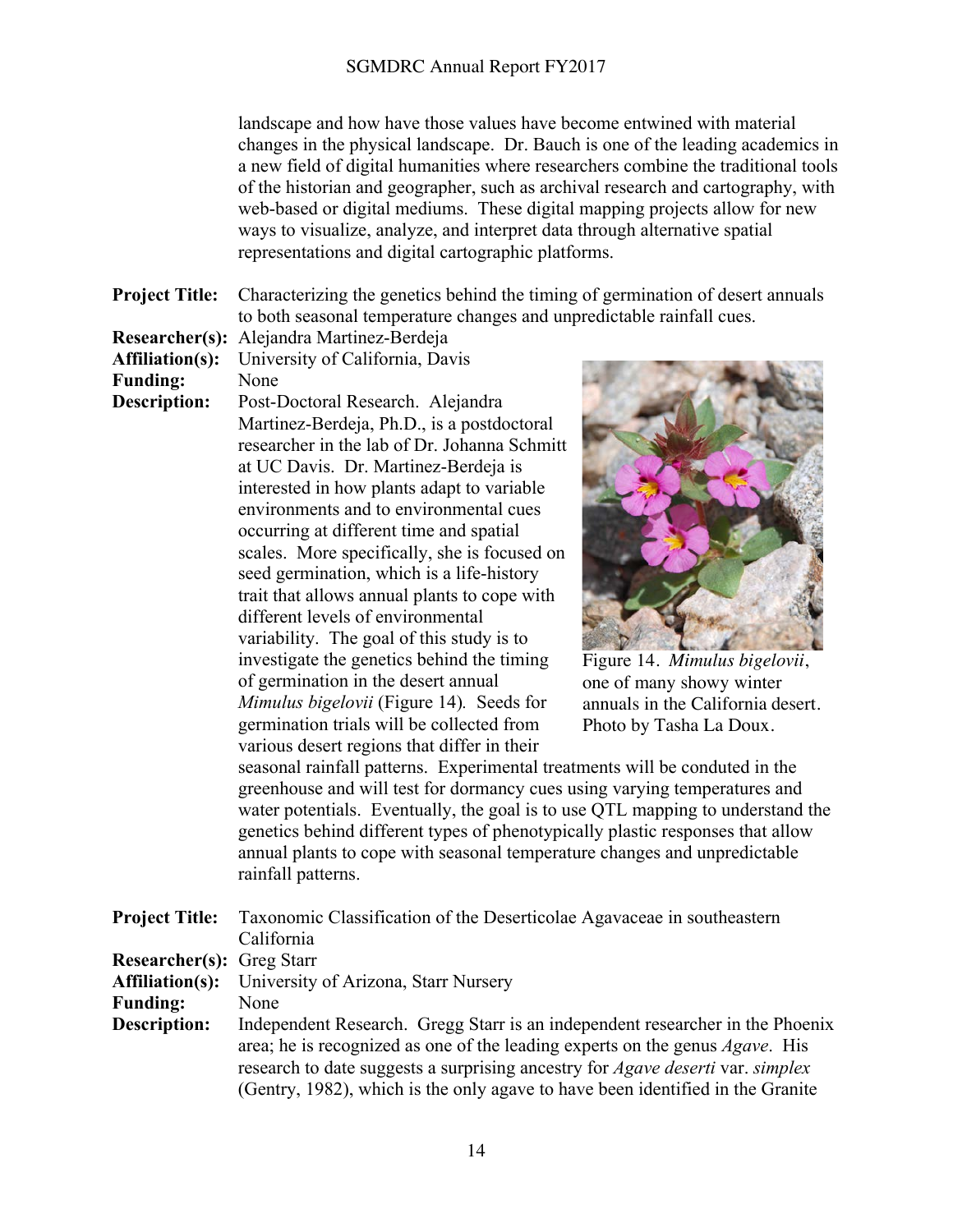landscape and how have those values have become entwined with material changes in the physical landscape. Dr. Bauch is one of the leading academics in a new field of digital humanities where researchers combine the traditional tools of the historian and geographer, such as archival research and cartography, with web-based or digital mediums. These digital mapping projects allow for new ways to visualize, analyze, and interpret data through alternative spatial representations and digital cartographic platforms.

**Project Title:** Characterizing the genetics behind the timing of germination of desert annuals to both seasonal temperature changes and unpredictable rainfall cues.

**Researcher(s):** Alejandra Martinez-Berdeja

**Affiliation(s):** University of California, Davis **Funding:** None

**Description:** Post-Doctoral Research. Alejandra Martinez-Berdeja, Ph.D., is a postdoctoral researcher in the lab of Dr. Johanna Schmitt at UC Davis. Dr. Martinez-Berdeja is interested in how plants adapt to variable environments and to environmental cues occurring at different time and spatial scales. More specifically, she is focused on seed germination, which is a life-history trait that allows annual plants to cope with different levels of environmental

variability. The goal of this study is to investigate the genetics behind the timing of germination in the desert annual *Mimulus bigelovii* (Figure 14)*.* Seeds for germination trials will be collected from various desert regions that differ in their



Figure 14. *Mimulus bigelovii*, one of many showy winter annuals in the California desert. Photo by Tasha La Doux.

seasonal rainfall patterns. Experimental treatments will be conduted in the greenhouse and will test for dormancy cues using varying temperatures and water potentials. Eventually, the goal is to use QTL mapping to understand the genetics behind different types of phenotypically plastic responses that allow annual plants to cope with seasonal temperature changes and unpredictable rainfall patterns.

|                                  | <b>Project Title:</b> Taxonomic Classification of the Deserticolae Agavaceae in southeastern                                                                                                                                                                                                                                                            |
|----------------------------------|---------------------------------------------------------------------------------------------------------------------------------------------------------------------------------------------------------------------------------------------------------------------------------------------------------------------------------------------------------|
|                                  | California                                                                                                                                                                                                                                                                                                                                              |
| <b>Researcher(s): Greg Starr</b> |                                                                                                                                                                                                                                                                                                                                                         |
| <b>Affiliation(s):</b>           | University of Arizona, Starr Nursery                                                                                                                                                                                                                                                                                                                    |
| <b>Funding:</b>                  | None                                                                                                                                                                                                                                                                                                                                                    |
| <b>Description:</b>              | Independent Research. Gregg Starr is an independent researcher in the Phoenix<br>area; he is recognized as one of the leading experts on the genus <i>Agave</i> . His<br>research to date suggests a surprising ancestry for <i>Agave deserti</i> var. <i>simplex</i><br>(Gentry, 1982), which is the only agave to have been identified in the Granite |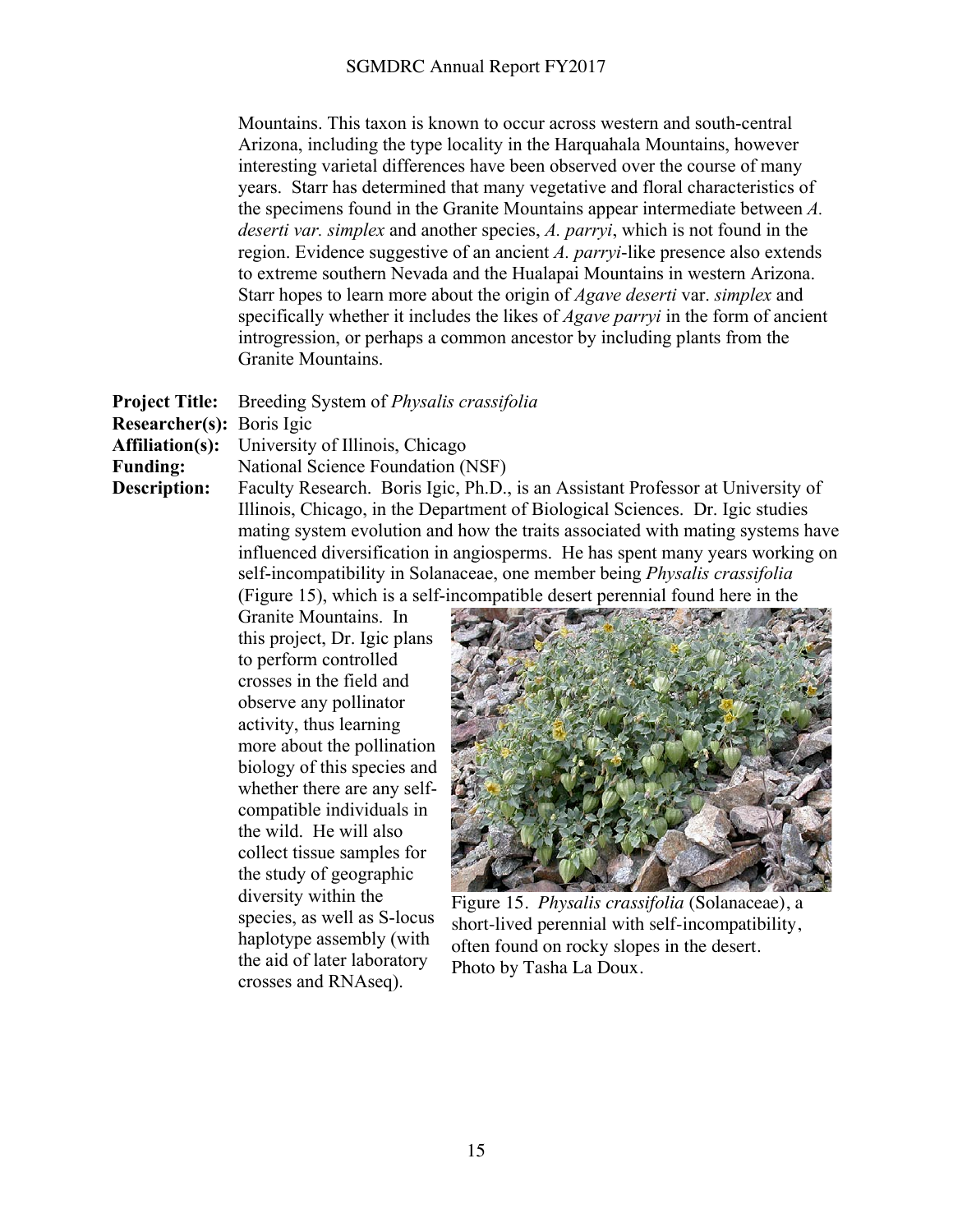Mountains. This taxon is known to occur across western and south-central Arizona, including the type locality in the Harquahala Mountains, however interesting varietal differences have been observed over the course of many years. Starr has determined that many vegetative and floral characteristics of the specimens found in the Granite Mountains appear intermediate between *A. deserti var. simplex* and another species, *A. parryi*, which is not found in the region. Evidence suggestive of an ancient *A. parryi*-like presence also extends to extreme southern Nevada and the Hualapai Mountains in western Arizona. Starr hopes to learn more about the origin of *Agave deserti* var. *simplex* and specifically whether it includes the likes of *Agave parryi* in the form of ancient introgression, or perhaps a common ancestor by including plants from the Granite Mountains.

**Project Title:** Breeding System of *Physalis crassifolia*

**Researcher(s):** Boris Igic

**Affiliation(s):** University of Illinois, Chicago

**Funding:** National Science Foundation (NSF)

**Description:** Faculty Research. Boris Igic, Ph.D., is an Assistant Professor at University of Illinois, Chicago, in the Department of Biological Sciences. Dr. Igic studies mating system evolution and how the traits associated with mating systems have influenced diversification in angiosperms. He has spent many years working on self-incompatibility in Solanaceae, one member being *Physalis crassifolia* (Figure 15), which is a self-incompatible desert perennial found here in the

Granite Mountains. In this project, Dr. Igic plans to perform controlled crosses in the field and observe any pollinator activity, thus learning more about the pollination biology of this species and whether there are any selfcompatible individuals in the wild. He will also collect tissue samples for the study of geographic diversity within the species, as well as S-locus haplotype assembly (with the aid of later laboratory crosses and RNAseq).



Figure 15. *Physalis crassifolia* (Solanaceae), a short-lived perennial with self-incompatibility, often found on rocky slopes in the desert. Photo by Tasha La Doux.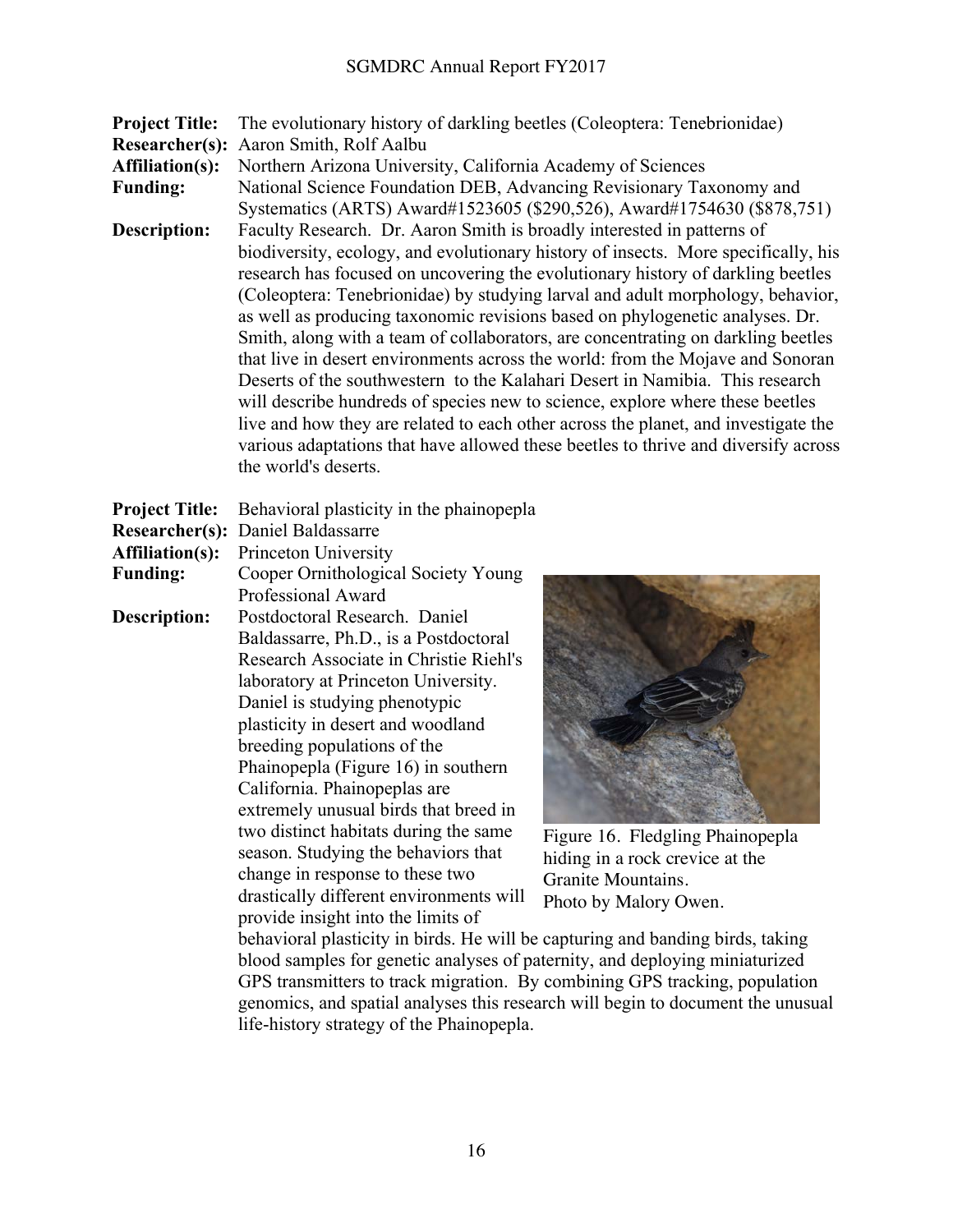**Project Title:** The evolutionary history of darkling beetles (Coleoptera: Tenebrionidae)

**Researcher(s):** Aaron Smith, Rolf Aalbu

**Affiliation(s):** Northern Arizona University, California Academy of Sciences **Funding:** National Science Foundation DEB, Advancing Revisionary Taxonomy and Systematics (ARTS) Award#1523605 (\$290,526), Award#1754630 (\$878,751)

**Description:** Faculty Research. Dr. Aaron Smith is broadly interested in patterns of biodiversity, ecology, and evolutionary history of insects. More specifically, his research has focused on uncovering the evolutionary history of darkling beetles (Coleoptera: Tenebrionidae) by studying larval and adult morphology, behavior, as well as producing taxonomic revisions based on phylogenetic analyses. Dr. Smith, along with a team of collaborators, are concentrating on darkling beetles that live in desert environments across the world: from the Mojave and Sonoran Deserts of the southwestern to the Kalahari Desert in Namibia. This research will describe hundreds of species new to science, explore where these beetles live and how they are related to each other across the planet, and investigate the various adaptations that have allowed these beetles to thrive and diversify across the world's deserts.

| <b>Project Title:</b> Behavioral plasticity in the phainopepla |  |  |
|----------------------------------------------------------------|--|--|
|                                                                |  |  |

**Researcher(s):** Daniel Baldassarre

**Affiliation(s):** Princeton University **Funding:** Cooper Ornithological Society Young

Professional Award **Description:** Postdoctoral Research. Daniel Baldassarre, Ph.D., is a Postdoctoral Research Associate in Christie Riehl's laboratory at Princeton University. Daniel is studying phenotypic plasticity in desert and woodland breeding populations of the Phainopepla (Figure 16) in southern California. Phainopeplas are extremely unusual birds that breed in two distinct habitats during the same season. Studying the behaviors that change in response to these two drastically different environments will provide insight into the limits of



Figure 16. Fledgling Phainopepla hiding in a rock crevice at the Granite Mountains. Photo by Malory Owen.

behavioral plasticity in birds. He will be capturing and banding birds, taking blood samples for genetic analyses of paternity, and deploying miniaturized GPS transmitters to track migration. By combining GPS tracking, population genomics, and spatial analyses this research will begin to document the unusual life-history strategy of the Phainopepla.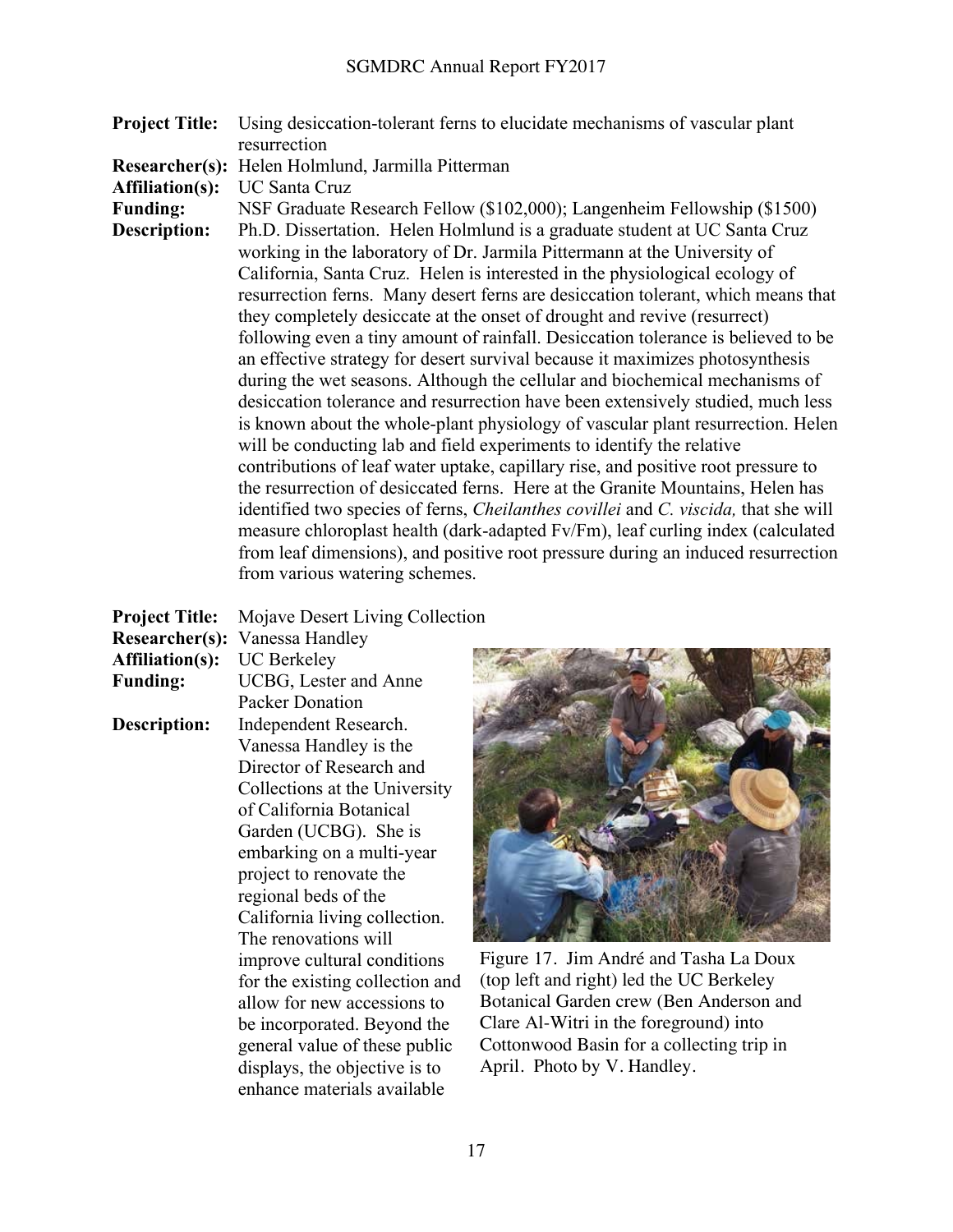**Project Title:** Using desiccation-tolerant ferns to elucidate mechanisms of vascular plant resurrection

**Researcher(s):** Helen Holmlund, Jarmilla Pitterman

**Affiliation(s):** UC Santa Cruz

**Funding:** NSF Graduate Research Fellow (\$102,000); Langenheim Fellowship (\$1500) **Description:** Ph.D. Dissertation. Helen Holmlund is a graduate student at UC Santa Cruz working in the laboratory of Dr. Jarmila Pittermann at the University of California, Santa Cruz. Helen is interested in the physiological ecology of resurrection ferns. Many desert ferns are desiccation tolerant, which means that they completely desiccate at the onset of drought and revive (resurrect) following even a tiny amount of rainfall. Desiccation tolerance is believed to be an effective strategy for desert survival because it maximizes photosynthesis during the wet seasons. Although the cellular and biochemical mechanisms of desiccation tolerance and resurrection have been extensively studied, much less is known about the whole-plant physiology of vascular plant resurrection. Helen will be conducting lab and field experiments to identify the relative contributions of leaf water uptake, capillary rise, and positive root pressure to the resurrection of desiccated ferns. Here at the Granite Mountains, Helen has identified two species of ferns, *Cheilanthes covillei* and *C. viscida,* that she will measure chloroplast health (dark-adapted Fv/Fm), leaf curling index (calculated from leaf dimensions), and positive root pressure during an induced resurrection from various watering schemes.

## **Project Title:** Mojave Desert Living Collection

**Researcher(s):** Vanessa Handley **Affiliation(s):** UC Berkeley

**Funding:** UCBG, Lester and Anne Packer Donation **Description:** Independent Research. Vanessa Handley is the Director of Research and Collections at the University of California Botanical Garden (UCBG). She is embarking on a multi-year project to renovate the regional beds of the California living collection. The renovations will improve cultural conditions for the existing collection and allow for new accessions to be incorporated. Beyond the general value of these public displays, the objective is to enhance materials available



Figure 17. Jim André and Tasha La Doux (top left and right) led the UC Berkeley Botanical Garden crew (Ben Anderson and Clare Al-Witri in the foreground) into Cottonwood Basin for a collecting trip in April. Photo by V. Handley.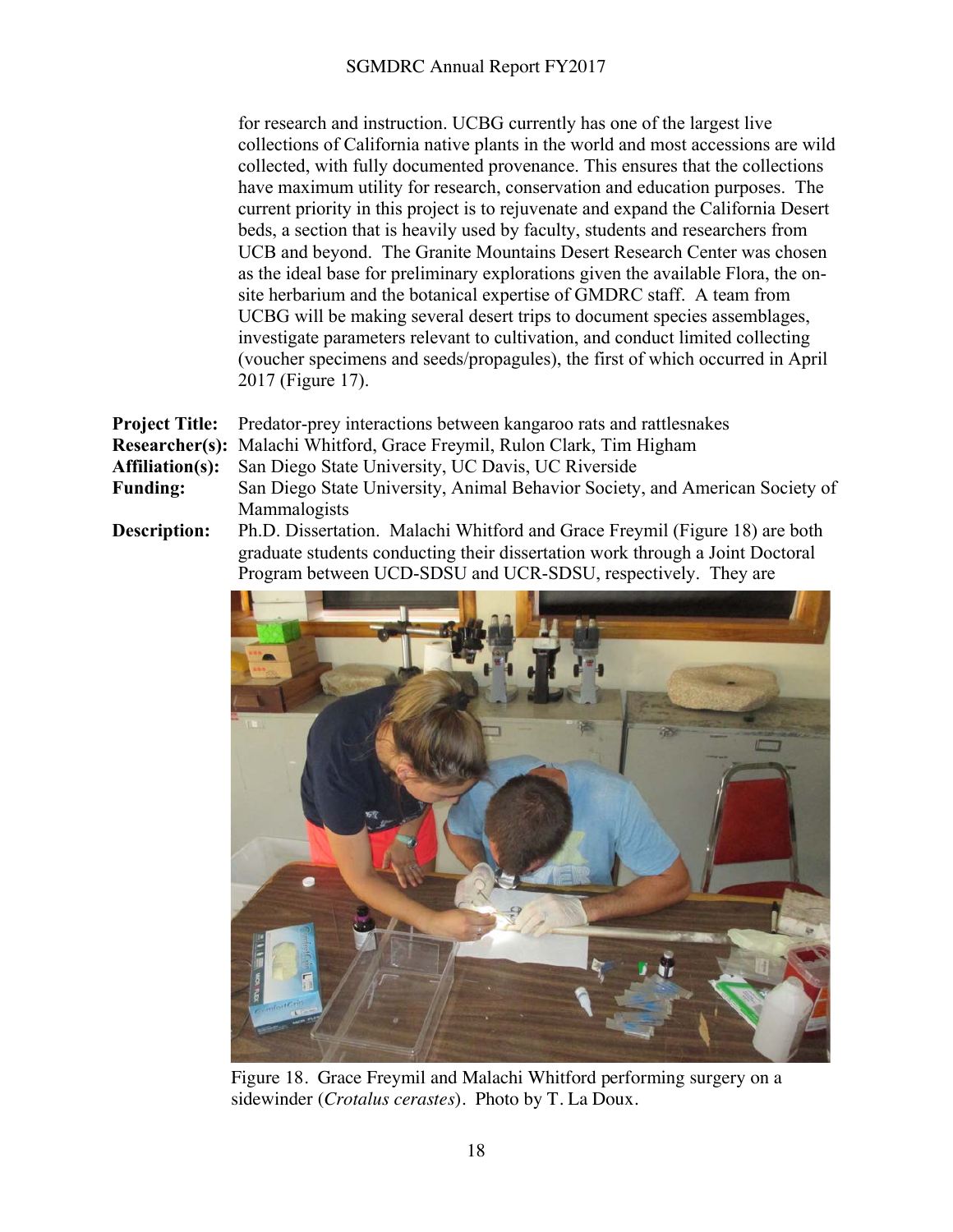for research and instruction. UCBG currently has one of the largest live collections of California native plants in the world and most accessions are wild collected, with fully documented provenance. This ensures that the collections have maximum utility for research, conservation and education purposes. The current priority in this project is to rejuvenate and expand the California Desert beds, a section that is heavily used by faculty, students and researchers from UCB and beyond. The Granite Mountains Desert Research Center was chosen as the ideal base for preliminary explorations given the available Flora, the onsite herbarium and the botanical expertise of GMDRC staff. A team from UCBG will be making several desert trips to document species assemblages, investigate parameters relevant to cultivation, and conduct limited collecting (voucher specimens and seeds/propagules), the first of which occurred in April 2017 (Figure 17).

|                     | <b>Project Title:</b> Predator-prey interactions between kangaroo rats and rattlesnakes |
|---------------------|-----------------------------------------------------------------------------------------|
|                     | <b>Researcher(s):</b> Malachi Whitford, Grace Freymil, Rulon Clark, Tim Higham          |
|                     | <b>Affiliation(s):</b> San Diego State University, UC Davis, UC Riverside               |
| <b>Funding:</b>     | San Diego State University, Animal Behavior Society, and American Society of            |
|                     | Mammalogists                                                                            |
| <b>Description:</b> | Ph.D. Dissertation. Malachi Whitford and Grace Freymil (Figure 18) are both             |

**Description:** Ph.D. Dissertation. Malachi Whitford and Grace Freymil (Figure 18) are both graduate students conducting their dissertation work through a Joint Doctoral Program between UCD-SDSU and UCR-SDSU, respectively. They are



Figure 18. Grace Freymil and Malachi Whitford performing surgery on a sidewinder (*Crotalus cerastes*). Photo by T. La Doux.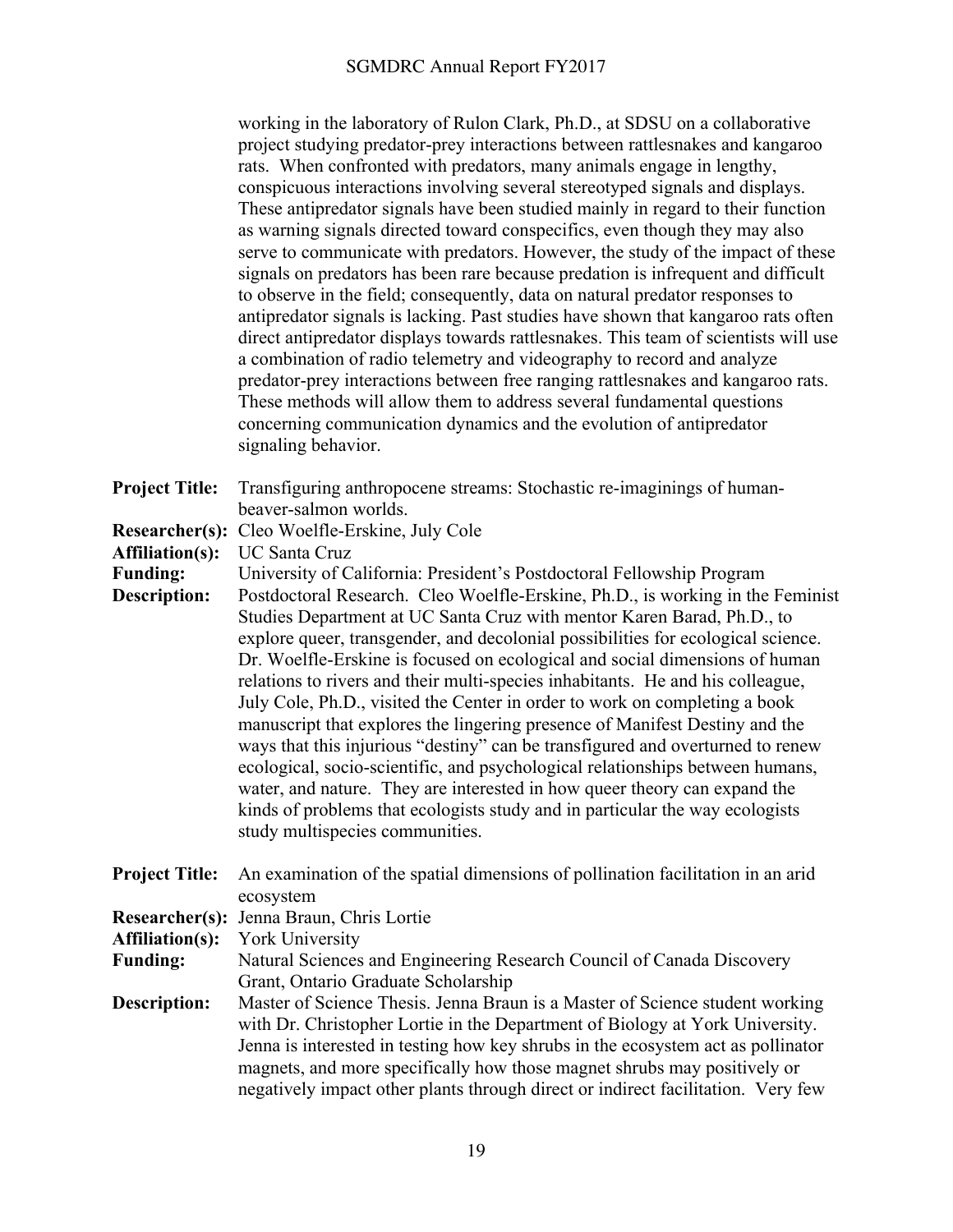working in the laboratory of Rulon Clark, Ph.D., at SDSU on a collaborative project studying predator-prey interactions between rattlesnakes and kangaroo rats. When confronted with predators, many animals engage in lengthy, conspicuous interactions involving several stereotyped signals and displays. These antipredator signals have been studied mainly in regard to their function as warning signals directed toward conspecifics, even though they may also serve to communicate with predators. However, the study of the impact of these signals on predators has been rare because predation is infrequent and difficult to observe in the field; consequently, data on natural predator responses to antipredator signals is lacking. Past studies have shown that kangaroo rats often direct antipredator displays towards rattlesnakes. This team of scientists will use a combination of radio telemetry and videography to record and analyze predator-prey interactions between free ranging rattlesnakes and kangaroo rats. These methods will allow them to address several fundamental questions concerning communication dynamics and the evolution of antipredator signaling behavior.

**Project Title:** Transfiguring anthropocene streams: Stochastic re-imaginings of humanbeaver-salmon worlds.

**Researcher(s):** Cleo Woelfle-Erskine, July Cole

**Affiliation(s):** UC Santa Cruz

**Funding:** University of California: President's Postdoctoral Fellowship Program

**Description:** Postdoctoral Research.Cleo Woelfle-Erskine, Ph.D., is working in the Feminist Studies Department at UC Santa Cruz with mentor Karen Barad, Ph.D., to explore queer, transgender, and decolonial possibilities for ecological science. Dr. Woelfle-Erskine is focused on ecological and social dimensions of human relations to rivers and their multi-species inhabitants. He and his colleague, July Cole, Ph.D., visited the Center in order to work on completing a book manuscript that explores the lingering presence of Manifest Destiny and the ways that this injurious "destiny" can be transfigured and overturned to renew ecological, socio-scientific, and psychological relationships between humans, water, and nature. They are interested in how queer theory can expand the kinds of problems that ecologists study and in particular the way ecologists study multispecies communities.

**Project Title:** An examination of the spatial dimensions of pollination facilitation in an arid ecosystem

**Researcher(s):** Jenna Braun, Chris Lortie

**Affiliation(s):** York University

**Funding:** Natural Sciences and Engineering Research Council of Canada Discovery Grant, Ontario Graduate Scholarship

**Description:** Master of Science Thesis. Jenna Braun is a Master of Science student working with Dr. Christopher Lortie in the Department of Biology at York University. Jenna is interested in testing how key shrubs in the ecosystem act as pollinator magnets, and more specifically how those magnet shrubs may positively or negatively impact other plants through direct or indirect facilitation. Very few